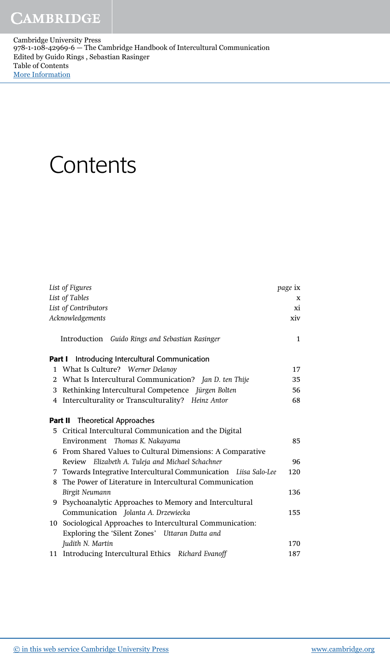Cambridge University Press 978-1-108-42969-6 — The Cambridge Handbook of Intercultural Communication Edited by Guido Rings , Sebastian Rasinger Table of Contents [More Information](www.cambridge.org/9781108429696)

## **Contents**

|   | List of Figures                                                                                 | page ix      |
|---|-------------------------------------------------------------------------------------------------|--------------|
|   | List of Tables                                                                                  | $\mathbf x$  |
|   | List of Contributors                                                                            | xi           |
|   | Acknowledgements                                                                                | xiv          |
|   | Introduction Guido Rings and Sebastian Rasinger                                                 | $\mathbf{1}$ |
|   | <b>Part I</b> Introducing Intercultural Communication                                           |              |
|   | 1 What Is Culture? Werner Delanoy                                                               | 17           |
|   | 2 What Is Intercultural Communication? Jan D. ten Thije                                         | 35           |
|   | 3 Rethinking Intercultural Competence Jürgen Bolten                                             | 56           |
|   | 4 Interculturality or Transculturality? Heinz Antor                                             | 68           |
|   | <b>Part II</b> Theoretical Approaches<br>5 Critical Intercultural Communication and the Digital |              |
|   | Environment Thomas K. Nakayama                                                                  | 85           |
|   | 6 From Shared Values to Cultural Dimensions: A Comparative                                      |              |
|   | Review Elizabeth A. Tuleja and Michael Schachner                                                | 96           |
|   | 7 Towards Integrative Intercultural Communication Liisa Salo-Lee                                | 120          |
|   | 8 The Power of Literature in Intercultural Communication                                        |              |
|   | Birgit Neumann                                                                                  | 136          |
| 9 | Psychoanalytic Approaches to Memory and Intercultural                                           |              |
|   | Communication Jolanta A. Drzewiecka                                                             | 155          |
|   | 10 Sociological Approaches to Intercultural Communication:                                      |              |
|   | Exploring the 'Silent Zones' Uttaran Dutta and                                                  |              |
|   | Judith N. Martin                                                                                | 170          |
|   | 11 Introducing Intercultural Ethics Richard Evanoff                                             | 187          |
|   |                                                                                                 |              |